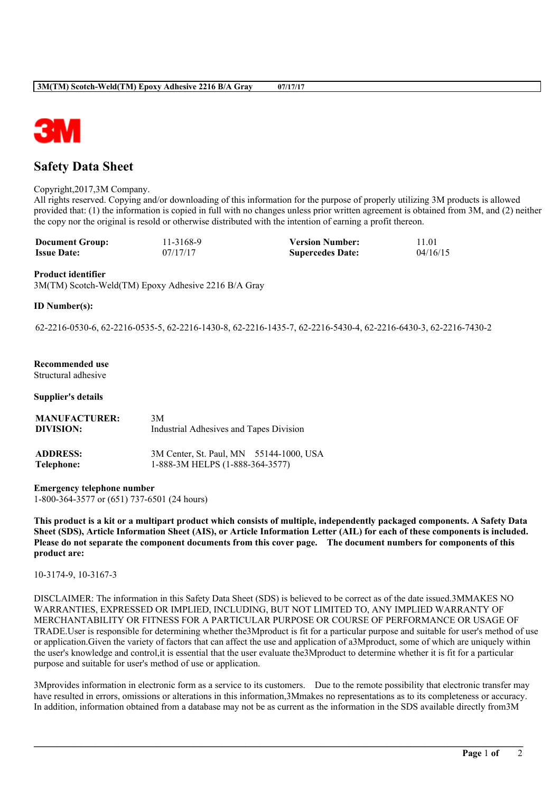

# **Safety Data Sheet**

#### Copyright,2017,3M Company.

All rights reserved. Copying and/or downloading of this information for the purpose of properly utilizing 3M products is allowed provided that: (1) the information is copied in full with no changes unless prior written agreement is obtained from 3M, and (2) neither the copy nor the original is resold or otherwise distributed with the intention of earning a profit thereon.

| <b>Document Group:</b> | 11-3168-9 | <b>Version Number:</b>  | 11.01    |
|------------------------|-----------|-------------------------|----------|
| <b>Issue Date:</b>     | 07/17/17  | <b>Supercedes Date:</b> | 04/16/15 |

#### **Product identifier**

3M(TM) Scotch-Weld(TM) Epoxy Adhesive 2216 B/A Gray

# **ID Number(s):**

62-2216-0530-6, 62-2216-0535-5, 62-2216-1430-8, 62-2216-1435-7, 62-2216-5430-4, 62-2216-6430-3, 62-2216-7430-2

# **Recommended use**

Structural adhesive

## **Supplier's details**

| <b>MANUFACTURER:</b> | 3M                                      |
|----------------------|-----------------------------------------|
| DIVISION:            | Industrial Adhesives and Tapes Division |
| <b>ADDRESS:</b>      | 3M Center, St. Paul, MN 55144-1000, USA |
| Telephone:           | 1-888-3M HELPS (1-888-364-3577)         |

**Emergency telephone number** 1-800-364-3577 or (651) 737-6501 (24 hours)

This product is a kit or a multipart product which consists of multiple, independently packaged components. A Safety Data Sheet (SDS), Article Information Sheet (AIS), or Article Information Letter (AIL) for each of these components is included. Please do not separate the component documents from this cover page. The document numbers for components of this **product are:**

10-3174-9, 10-3167-3

DISCLAIMER: The information in this Safety Data Sheet (SDS) is believed to be correct as of the date issued.3MMAKES NO WARRANTIES, EXPRESSED OR IMPLIED, INCLUDING, BUT NOT LIMITED TO, ANY IMPLIED WARRANTY OF MERCHANTABILITY OR FITNESS FOR A PARTICULAR PURPOSE OR COURSE OF PERFORMANCE OR USAGE OF TRADE.User is responsible for determining whether the3Mproduct is fit for a particular purpose and suitable for user's method of use or application.Given the variety of factors that can affect the use and application of a3Mproduct, some of which are uniquely within the user's knowledge and control,it is essential that the user evaluate the3Mproduct to determine whether it is fit for a particular purpose and suitable for user's method of use or application.

3Mprovides information in electronic form as a service to its customers. Due to the remote possibility that electronic transfer may have resulted in errors, omissions or alterations in this information,3Mmakes no representations as to its completeness or accuracy. In addition, information obtained from a database may not be as current as the information in the SDS available directly from3M

**\_\_\_\_\_\_\_\_\_\_\_\_\_\_\_\_\_\_\_\_\_\_\_\_\_\_\_\_\_\_\_\_\_\_\_\_\_\_\_\_\_\_\_\_\_\_\_\_\_\_\_\_\_\_\_\_\_\_\_\_\_\_\_\_\_\_\_\_\_\_\_\_\_\_\_\_\_\_\_\_\_\_\_\_\_\_\_\_\_\_\_\_\_\_\_\_\_\_\_\_\_\_\_\_**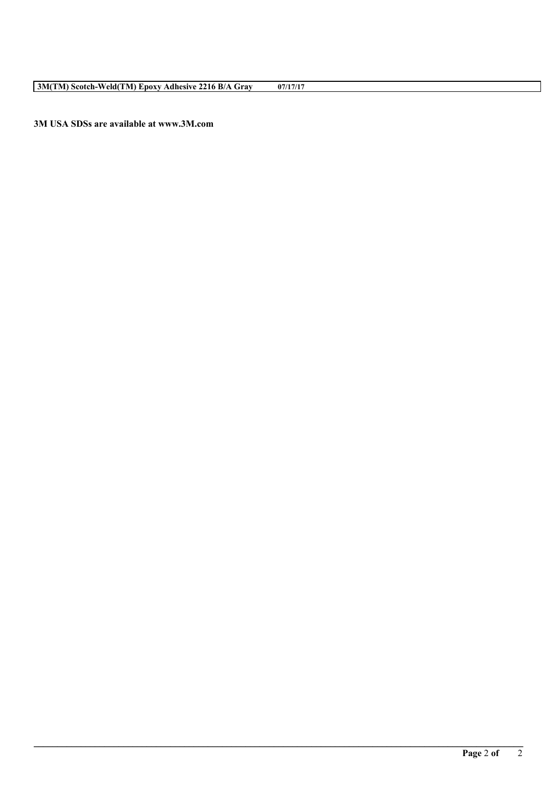**3M USA SDSs are available at www.3M.com**

**\_\_\_\_\_\_\_\_\_\_\_\_\_\_\_\_\_\_\_\_\_\_\_\_\_\_\_\_\_\_\_\_\_\_\_\_\_\_\_\_\_\_\_\_\_\_\_\_\_\_\_\_\_\_\_\_\_\_\_\_\_\_\_\_\_\_\_\_\_\_\_\_\_\_\_\_\_\_\_\_\_\_\_\_\_\_\_\_\_\_\_\_\_\_\_\_\_\_\_\_\_\_\_\_**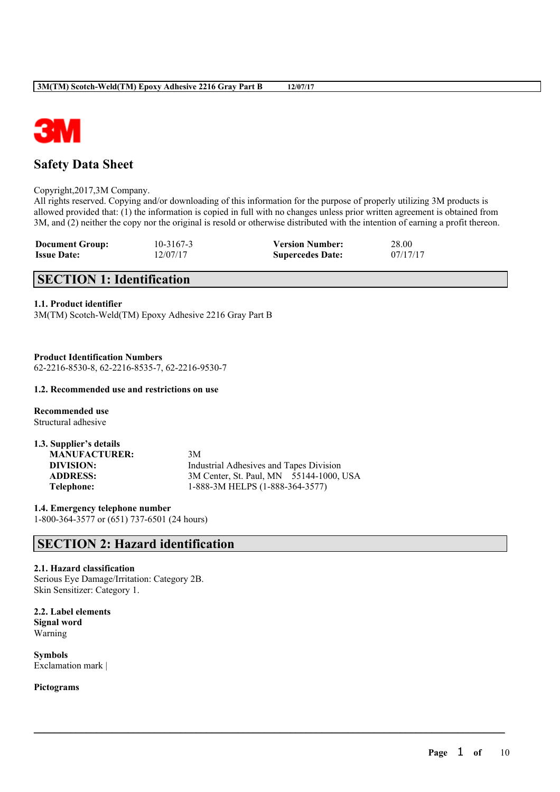

# **Safety Data Sheet**

Copyright,2017,3M Company.

All rights reserved. Copying and/or downloading of this information for the purpose of properly utilizing 3M products is allowed provided that: (1) the information is copied in full with no changes unless prior written agreement is obtained from 3M, and (2) neither the copy nor the original is resold or otherwise distributed with the intention of earning a profit thereon.

 $\mathcal{L}_\mathcal{L} = \mathcal{L}_\mathcal{L} = \mathcal{L}_\mathcal{L} = \mathcal{L}_\mathcal{L} = \mathcal{L}_\mathcal{L} = \mathcal{L}_\mathcal{L} = \mathcal{L}_\mathcal{L} = \mathcal{L}_\mathcal{L} = \mathcal{L}_\mathcal{L} = \mathcal{L}_\mathcal{L} = \mathcal{L}_\mathcal{L} = \mathcal{L}_\mathcal{L} = \mathcal{L}_\mathcal{L} = \mathcal{L}_\mathcal{L} = \mathcal{L}_\mathcal{L} = \mathcal{L}_\mathcal{L} = \mathcal{L}_\mathcal{L}$ 

| <b>Document Group:</b> | 10-3167-3 | <b>Version Number:</b>  | 28.00    |
|------------------------|-----------|-------------------------|----------|
| <b>Issue Date:</b>     | 12/07/17  | <b>Supercedes Date:</b> | 07/17/17 |

# **SECTION 1: Identification**

# **1.1. Product identifier**

3M(TM) Scotch-Weld(TM) Epoxy Adhesive 2216 Gray Part B

**Product Identification Numbers** 62-2216-8530-8, 62-2216-8535-7, 62-2216-9530-7

# **1.2. Recommended use and restrictions on use**

**Recommended use** Structural adhesive

| 3M                                      |
|-----------------------------------------|
| Industrial Adhesives and Tapes Division |
| 3M Center, St. Paul, MN 55144-1000, USA |
| 1-888-3M HELPS (1-888-364-3577)         |
|                                         |

**1.4. Emergency telephone number** 1-800-364-3577 or (651) 737-6501 (24 hours)

# **SECTION 2: Hazard identification**

# **2.1. Hazard classification**

Serious Eye Damage/Irritation: Category 2B. Skin Sensitizer: Category 1.

**2.2. Label elements Signal word** Warning

**Symbols** Exclamation mark |

**Pictograms**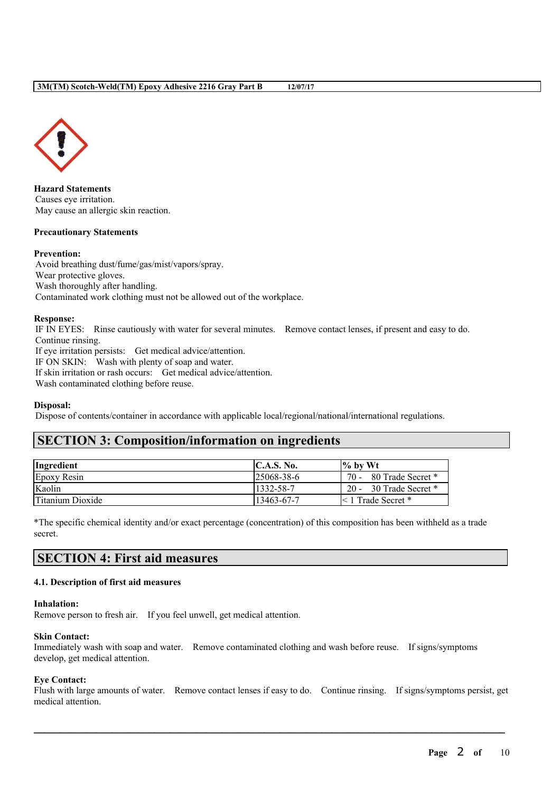

**Hazard Statements** Causes eye irritation. May cause an allergic skin reaction.

#### **Precautionary Statements**

#### **Prevention:**

Avoid breathing dust/fume/gas/mist/vapors/spray. Wear protective gloves. Wash thoroughly after handling. Contaminated work clothing must not be allowed out of the workplace.

#### **Response:**

IF IN EYES: Rinse cautiously with water for several minutes. Remove contact lenses, if present and easy to do. Continue rinsing.

If eye irritation persists: Get medical advice/attention.

IF ON SKIN: Wash with plenty of soap and water.

If skin irritation or rash occurs: Get medical advice/attention.

Wash contaminated clothing before reuse.

# **Disposal:**

Dispose of contents/container in accordance with applicable local/regional/national/international regulations.

# **SECTION 3: Composition/information on ingredients**

| Ingredient       | C.A.S. No.        | $\frac{9}{6}$ by Wt     |
|------------------|-------------------|-------------------------|
| Epoxy Resin      | $125068 - 38 - 6$ | 70 - 80 Trade Secret *  |
| Kaolin           | 1332-58-7         | 20 - 30 Trade Secret *  |
| Titanium Dioxide | 13463-67-7        | $\leq 1$ Trade Secret * |

\*The specific chemical identity and/or exact percentage (concentration) of this composition has been withheld as a trade secret.

# **SECTION 4: First aid measures**

# **4.1. Description of first aid measures**

#### **Inhalation:**

Remove person to fresh air. If you feel unwell, get medical attention.

#### **Skin Contact:**

Immediately wash with soap and water. Remove contaminated clothing and wash before reuse. If signs/symptoms develop, get medical attention.

# **Eye Contact:**

Flush with large amounts of water. Remove contact lenses if easy to do. Continue rinsing. If signs/symptoms persist, get medical attention.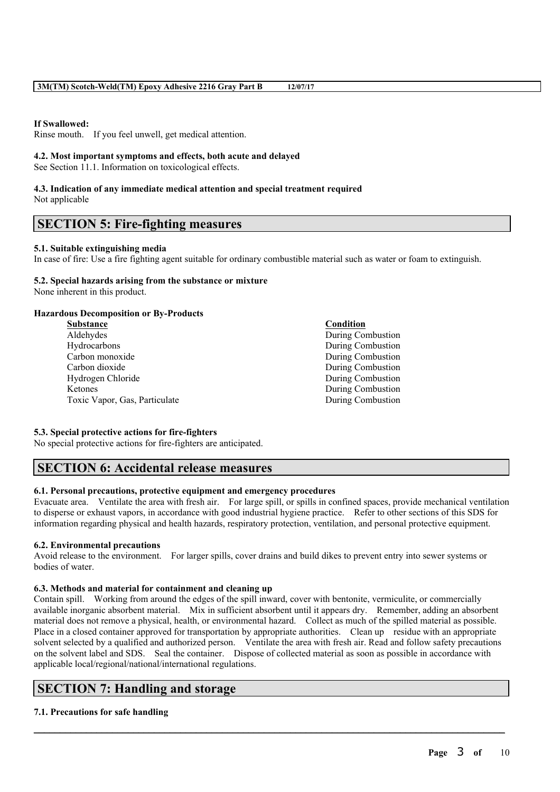# **If Swallowed:**

Rinse mouth. If you feel unwell, get medical attention.

# **4.2. Most important symptoms and effects, both acute and delayed**

See Section 11.1. Information on toxicological effects.

#### **4.3. Indication of any immediate medical attention and special treatment required** Not applicable

# **SECTION 5: Fire-fighting measures**

# **5.1. Suitable extinguishing media**

In case of fire: Use a fire fighting agent suitable for ordinary combustible material such as water or foam to extinguish.

# **5.2. Special hazards arising from the substance or mixture**

None inherent in this product.

# **Hazardous Decomposition or By-Products**

**Substance Condition** Aldehydes During Combustion Hydrocarbons During Combustion Carbon monoxide During Combustion Carbon dioxide During Combustion Hydrogen Chloride During Combustion Ketones During Combustion Toxic Vapor, Gas, Particulate During Combustion

# **5.3. Special protective actions for fire-fighters**

No special protective actions for fire-fighters are anticipated.

# **SECTION 6: Accidental release measures**

# **6.1. Personal precautions, protective equipment and emergency procedures**

Evacuate area. Ventilate the area with fresh air. For large spill, or spills in confined spaces, provide mechanical ventilation to disperse or exhaust vapors, in accordance with good industrial hygiene practice. Refer to other sections of this SDS for information regarding physical and health hazards, respiratory protection, ventilation, and personal protective equipment.

# **6.2. Environmental precautions**

Avoid release to the environment. For larger spills, cover drains and build dikes to prevent entry into sewer systems or bodies of water.

# **6.3. Methods and material for containment and cleaning up**

Contain spill. Working from around the edges of the spill inward, cover with bentonite, vermiculite, or commercially available inorganic absorbent material. Mix in sufficient absorbent until it appears dry. Remember, adding an absorbent material does not remove a physical, health, or environmental hazard. Collect as much of the spilled material as possible. Place in a closed container approved for transportation by appropriate authorities. Clean up residue with an appropriate solvent selected by a qualified and authorized person. Ventilate the area with fresh air. Read and follow safety precautions on the solvent label and SDS. Seal the container. Dispose of collected material as soon as possible in accordance with applicable local/regional/national/international regulations.

 $\mathcal{L}_\mathcal{L} = \mathcal{L}_\mathcal{L} = \mathcal{L}_\mathcal{L} = \mathcal{L}_\mathcal{L} = \mathcal{L}_\mathcal{L} = \mathcal{L}_\mathcal{L} = \mathcal{L}_\mathcal{L} = \mathcal{L}_\mathcal{L} = \mathcal{L}_\mathcal{L} = \mathcal{L}_\mathcal{L} = \mathcal{L}_\mathcal{L} = \mathcal{L}_\mathcal{L} = \mathcal{L}_\mathcal{L} = \mathcal{L}_\mathcal{L} = \mathcal{L}_\mathcal{L} = \mathcal{L}_\mathcal{L} = \mathcal{L}_\mathcal{L}$ 

# **SECTION 7: Handling and storage**

# **7.1. Precautions for safe handling**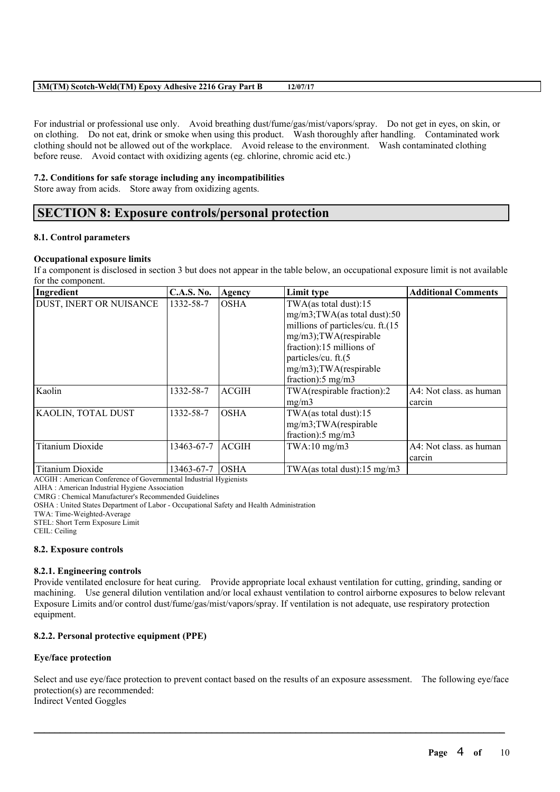# **3M(TM) Scotch-Weld(TM) Epoxy Adhesive 2216 Gray Part B 12/07/17**

For industrial or professional use only. Avoid breathing dust/fume/gas/mist/vapors/spray. Do not get in eyes, on skin, or on clothing. Do not eat, drink or smoke when using this product. Wash thoroughly after handling. Contaminated work clothing should not be allowed out of the workplace. Avoid release to the environment. Wash contaminated clothing before reuse. Avoid contact with oxidizing agents (eg. chlorine, chromic acid etc.)

### **7.2. Conditions for safe storage including any incompatibilities**

Store away from acids. Store away from oxidizing agents.

# **SECTION 8: Exposure controls/personal protection**

#### **8.1. Control parameters**

#### **Occupational exposure limits**

If a component is disclosed in section 3 but does not appear in the table below, an occupational exposure limit is not available for the component.

| Ingredient                     | <b>C.A.S. No.</b> | Agency       | Limit type                       | <b>Additional Comments</b> |
|--------------------------------|-------------------|--------------|----------------------------------|----------------------------|
| <b>DUST, INERT OR NUISANCE</b> | 1332-58-7         | <b>OSHA</b>  | TWA(as total dust):15            |                            |
|                                |                   |              | mg/m3;TWA(as total dust):50      |                            |
|                                |                   |              | millions of particles/cu. ft.(15 |                            |
|                                |                   |              | mg/m3);TWA(respirable            |                            |
|                                |                   |              | fraction):15 millions of         |                            |
|                                |                   |              | particles/cu. ft.(5              |                            |
|                                |                   |              | mg/m3);TWA(respirable            |                            |
|                                |                   |              | fraction):5 mg/m3                |                            |
| Kaolin                         | 1332-58-7         | <b>ACGIH</b> | TWA(respirable fraction):2       | A4: Not class. as human    |
|                                |                   |              | mg/m3                            | carcin                     |
| <b>KAOLIN, TOTAL DUST</b>      | 1332-58-7         | <b>OSHA</b>  | TWA(as total dust):15            |                            |
|                                |                   |              | mg/m3;TWA(respirable             |                            |
|                                |                   |              | fraction): $5 \text{ mg/m}$ 3    |                            |
| <b>Titanium Dioxide</b>        | 13463-67-7        | <b>ACGIH</b> | $TWA:10$ mg/m $3$                | A4: Not class. as human    |
|                                |                   |              |                                  | carcin                     |
| Titanium Dioxide               | 13463-67-7        | <b>OSHA</b>  | TWA(as total dust):15 mg/m3      |                            |

ACGIH : American Conference of Governmental Industrial Hygienists

AIHA : American Industrial Hygiene Association

CMRG : Chemical Manufacturer's Recommended Guidelines

OSHA : United States Department of Labor - Occupational Safety and Health Administration

TWA: Time-Weighted-Average

STEL: Short Term Exposure Limit

CEIL: Ceiling

#### **8.2. Exposure controls**

#### **8.2.1. Engineering controls**

Provide ventilated enclosure for heat curing. Provide appropriate local exhaust ventilation for cutting, grinding, sanding or machining. Use general dilution ventilation and/or local exhaust ventilation to control airborne exposures to below relevant Exposure Limits and/or control dust/fume/gas/mist/vapors/spray. If ventilation is not adequate, use respiratory protection equipment.

# **8.2.2. Personal protective equipment (PPE)**

# **Eye/face protection**

Select and use eye/face protection to prevent contact based on the results of an exposure assessment. The following eye/face protection(s) are recommended: Indirect Vented Goggles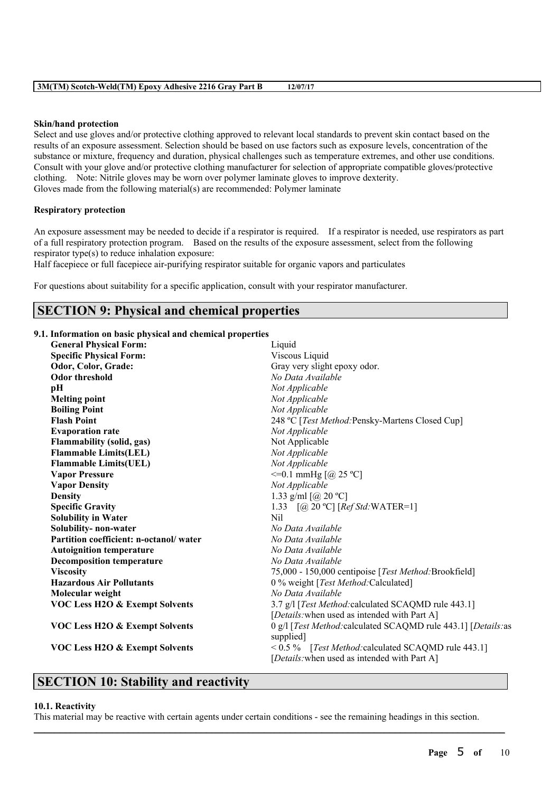|  |  |  |  |  | 3M(TM) Scotch-Weld(TM) Epoxy Adhesive 2216 Gray Part B |  | 12/07/17 |
|--|--|--|--|--|--------------------------------------------------------|--|----------|
|--|--|--|--|--|--------------------------------------------------------|--|----------|

#### **Skin/hand protection**

Select and use gloves and/or protective clothing approved to relevant local standards to prevent skin contact based on the results of an exposure assessment. Selection should be based on use factors such as exposure levels, concentration of the substance or mixture, frequency and duration, physical challenges such as temperature extremes, and other use conditions. Consult with your glove and/or protective clothing manufacturer for selection of appropriate compatible gloves/protective clothing. Note: Nitrile gloves may be worn over polymer laminate gloves to improve dexterity. Gloves made from the following material(s) are recommended: Polymer laminate

### **Respiratory protection**

An exposure assessment may be needed to decide if a respirator is required. If a respirator is needed, use respirators as part of a full respiratory protection program. Based on the results of the exposure assessment, select from the following respirator type(s) to reduce inhalation exposure:

Half facepiece or full facepiece air-purifying respirator suitable for organic vapors and particulates

For questions about suitability for a specific application, consult with your respirator manufacturer.

# **SECTION 9: Physical and chemical properties**

# **9.1. Information on basic physical and chemical properties**

| <b>General Physical Form:</b>             | Liquid                                                                                                 |
|-------------------------------------------|--------------------------------------------------------------------------------------------------------|
| <b>Specific Physical Form:</b>            | Viscous Liquid                                                                                         |
| Odor, Color, Grade:                       | Gray very slight epoxy odor.                                                                           |
| <b>Odor threshold</b>                     | No Data Available                                                                                      |
| рH                                        | Not Applicable                                                                                         |
| <b>Melting point</b>                      | Not Applicable                                                                                         |
| <b>Boiling Point</b>                      | Not Applicable                                                                                         |
| <b>Flash Point</b>                        | 248 °C [Test Method: Pensky-Martens Closed Cup]                                                        |
| <b>Evaporation rate</b>                   | Not Applicable                                                                                         |
| <b>Flammability (solid, gas)</b>          | Not Applicable                                                                                         |
| <b>Flammable Limits(LEL)</b>              | Not Applicable                                                                                         |
| <b>Flammable Limits(UEL)</b>              | Not Applicable                                                                                         |
| <b>Vapor Pressure</b>                     | $\leq$ =0.1 mmHg [@ 25 °C]                                                                             |
| <b>Vapor Density</b>                      | Not Applicable                                                                                         |
| <b>Density</b>                            | 1.33 g/ml $[@ 20 °C]$                                                                                  |
| <b>Specific Gravity</b>                   | 1.33 $[@ 20 °C] [Ref Std: WATER=1]$                                                                    |
| <b>Solubility in Water</b>                | N <sub>il</sub>                                                                                        |
| Solubility- non-water                     | No Data Available                                                                                      |
| Partition coefficient: n-octanol/water    | No Data Available                                                                                      |
| <b>Autoignition temperature</b>           | No Data Available                                                                                      |
| <b>Decomposition temperature</b>          | No Data Available                                                                                      |
| <b>Viscosity</b>                          | 75,000 - 150,000 centipoise [Test Method: Brookfield]                                                  |
| <b>Hazardous Air Pollutants</b>           | 0 % weight [Test Method: Calculated]                                                                   |
| Molecular weight                          | No Data Available                                                                                      |
| <b>VOC Less H2O &amp; Exempt Solvents</b> | 3.7 g/l [Test Method: calculated SCAQMD rule 443.1]                                                    |
|                                           | [Details: when used as intended with Part A]                                                           |
| <b>VOC Less H2O &amp; Exempt Solvents</b> | 0 g/l [Test Method: calculated SCAQMD rule 443.1] [Details: as<br>supplied]                            |
| <b>VOC Less H2O &amp; Exempt Solvents</b> | $< 0.5 \%$ [Test Method: calculated SCAQMD rule 443.1]<br>[Details: when used as intended with Part A] |
|                                           |                                                                                                        |

# **SECTION 10: Stability and reactivity**

#### **10.1. Reactivity**

This material may be reactive with certain agents under certain conditions - see the remaining headings in this section.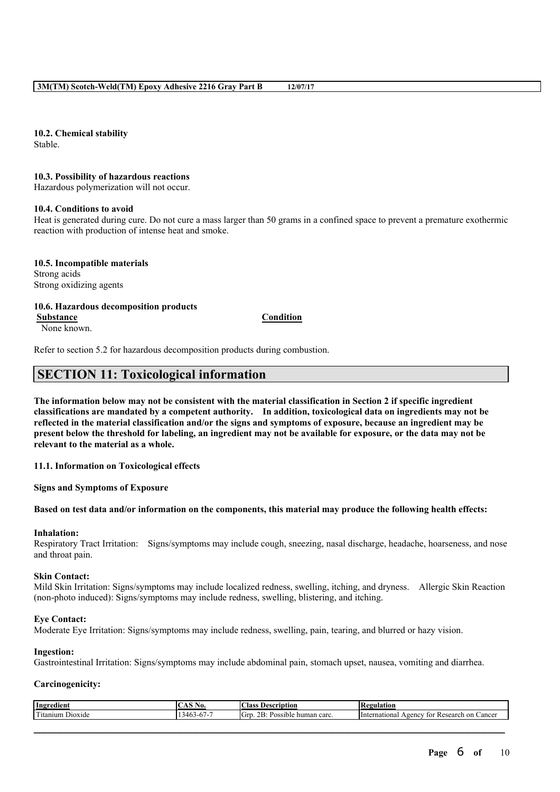**10.2. Chemical stability**

Stable.

#### **10.3. Possibility of hazardous reactions**

Hazardous polymerization will not occur.

#### **10.4. Conditions to avoid**

Heat is generated during cure. Do not cure a mass larger than 50 grams in a confined space to prevent a premature exothermic reaction with production of intense heat and smoke.

**10.5. Incompatible materials** Strong acids Strong oxidizing agents

#### **10.6. Hazardous decomposition products Substance Condition**

None known.

Refer to section 5.2 for hazardous decomposition products during combustion.

# **SECTION 11: Toxicological information**

The information below may not be consistent with the material classification in Section 2 if specific ingredient **classifications are mandated by a competent authority. In addition, toxicological data on ingredients may not be** reflected in the material classification and/or the signs and symptoms of exposure, because an ingredient may be present below the threshold for labeling, an ingredient may not be available for exposure, or the data may not be **relevant to the material as a whole.**

**11.1. Information on Toxicological effects**

**Signs and Symptoms of Exposure**

Based on test data and/or information on the components, this material may produce the following health effects:

#### **Inhalation:**

Respiratory Tract Irritation: Signs/symptoms may include cough, sneezing, nasal discharge, headache, hoarseness, and nose and throat pain.

#### **Skin Contact:**

Mild Skin Irritation: Signs/symptoms may include localized redness, swelling, itching, and dryness. Allergic Skin Reaction (non-photo induced): Signs/symptoms may include redness, swelling, blistering, and itching.

# **Eye Contact:**

Moderate Eye Irritation: Signs/symptoms may include redness, swelling, pain, tearing, and blurred or hazy vision.

#### **Ingestion:**

Gastrointestinal Irritation: Signs/symptoms may include abdominal pain, stomach upset, nausea, vomiting and diarrhea.

# **Carcinogenicity:**

| Ingredient       | <b>CACNI</b><br>No. | Class.<br><b>Description</b>                  | Regulation                                                 |
|------------------|---------------------|-----------------------------------------------|------------------------------------------------------------|
| Titanium Dioxide | 13463-67-7          | .<br>$2B$ :<br>: Possible human carc.<br>GTD. | ı on Cancer<br><i>International</i><br>Agency for Research |
|                  |                     |                                               |                                                            |
|                  |                     |                                               |                                                            |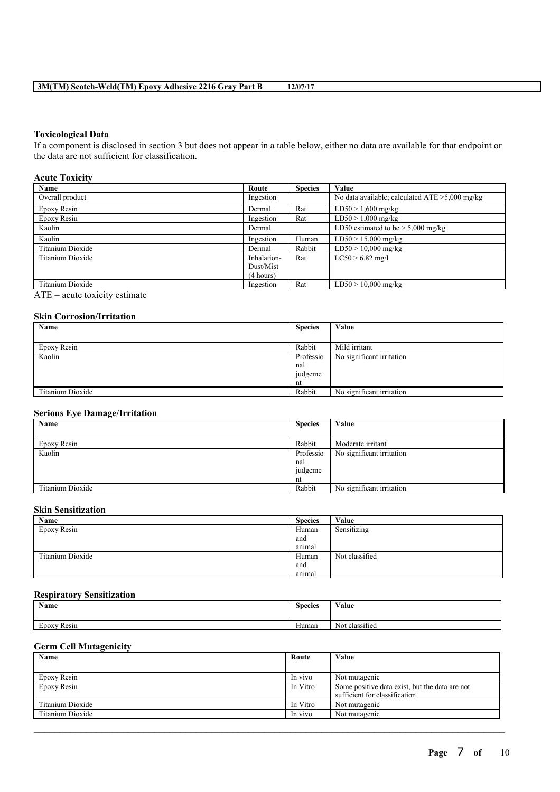# **3M(TM) Scotch-Weld(TM) Epoxy Adhesive 2216 Gray Part B 12/07/17**

#### **Toxicological Data**

If a component is disclosed in section 3 but does not appear in a table below, either no data are available for that endpoint or the data are not sufficient for classification.

#### **Acute Toxicity**

| Name             | Route       | <b>Species</b> | Value                                             |
|------------------|-------------|----------------|---------------------------------------------------|
| Overall product  | Ingestion   |                | No data available; calculated $ATE > 5,000$ mg/kg |
| Epoxy Resin      | Dermal      | Rat            | $LD50 > 1,600$ mg/kg                              |
| Epoxy Resin      | Ingestion   | Rat            | $LD50 > 1,000$ mg/kg                              |
| Kaolin           | Dermal      |                | LD50 estimated to be $> 5,000$ mg/kg              |
| Kaolin           | Ingestion   | Human          | $LD50 > 15,000$ mg/kg                             |
| Titanium Dioxide | Dermal      | Rabbit         | $LD50 > 10,000$ mg/kg                             |
| Titanium Dioxide | Inhalation- | Rat            | $LC50 > 6.82$ mg/l                                |
|                  | Dust/Mist   |                |                                                   |
|                  | (4 hours)   |                |                                                   |
| Titanium Dioxide | Ingestion   | Rat            | $LD50 > 10,000$ mg/kg                             |

 $ATE = acute$  toxicity estimate

# **Skin Corrosion/Irritation**

| Name             | <b>Species</b> | Value                     |
|------------------|----------------|---------------------------|
|                  |                |                           |
| Epoxy Resin      | Rabbit         | Mild irritant             |
| Kaolin           | Professio      | No significant irritation |
|                  | nal            |                           |
|                  | judgeme        |                           |
|                  | nt             |                           |
| Titanium Dioxide | Rabbit         | No significant irritation |

# **Serious Eye Damage/Irritation**

| Name             | <b>Species</b> | Value                     |
|------------------|----------------|---------------------------|
|                  |                |                           |
| Epoxy Resin      | Rabbit         | Moderate irritant         |
| Kaolin           | Professio      | No significant irritation |
|                  | nal            |                           |
|                  | judgeme        |                           |
|                  | nt             |                           |
| Titanium Dioxide | Rabbit         | No significant irritation |

#### **Skin Sensitization**

| Name             | <b>Species</b>   | Value          |
|------------------|------------------|----------------|
| Epoxy Resin      | Human            | Sensitizing    |
|                  | and              |                |
|                  | animal           |                |
| Titanium Dioxide | Human            | Not classified |
|                  | and              |                |
|                  | $\sim$<br>animal |                |

# **Respiratory Sensitization**

| Name                     | $\sim$<br><b>Species</b> | Value                           |
|--------------------------|--------------------------|---------------------------------|
|                          |                          |                                 |
| $\sim$<br>Resin<br>Epoxy | <b>YY</b><br>Human       | $\sim$ $\sim$<br>Not classified |

# **Germ Cell Mutagenicity**

| Name             | Route    | Value                                          |
|------------------|----------|------------------------------------------------|
|                  |          |                                                |
| Epoxy Resin      | In vivo  | Not mutagenic                                  |
| Epoxy Resin      | In Vitro | Some positive data exist, but the data are not |
|                  |          | sufficient for classification                  |
| Titanium Dioxide | In Vitro | Not mutagenic                                  |
| Titanium Dioxide | In vivo  | Not mutagenic                                  |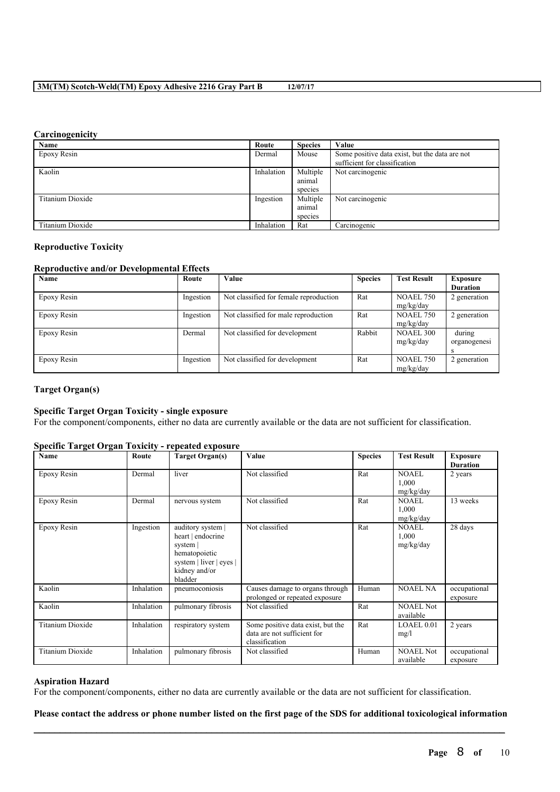# **3M(TM) Scotch-Weld(TM) Epoxy Adhesive 2216 Gray Part B 12/07/17**

#### **Carcinogenicity**

| Name             | Route      | <b>Species</b> | Value                                          |
|------------------|------------|----------------|------------------------------------------------|
| Epoxy Resin      | Dermal     | Mouse          | Some positive data exist, but the data are not |
|                  |            |                | sufficient for classification                  |
| Kaolin           | Inhalation | Multiple       | Not carcinogenic                               |
|                  |            | animal         |                                                |
|                  |            | species        |                                                |
| Titanium Dioxide | Ingestion  | Multiple       | Not carcinogenic                               |
|                  |            | animal         |                                                |
|                  |            | species        |                                                |
| Titanium Dioxide | Inhalation | Rat            | Carcinogenic                                   |

### **Reproductive Toxicity**

#### **Reproductive and/or Developmental Effects**

| Name        | Route     | Value                                  | <b>Species</b> | <b>Test Result</b> | <b>Exposure</b> |
|-------------|-----------|----------------------------------------|----------------|--------------------|-----------------|
|             |           |                                        |                |                    | <b>Duration</b> |
| Epoxy Resin | Ingestion | Not classified for female reproduction | Rat            | <b>NOAEL 750</b>   | 2 generation    |
|             |           |                                        |                | mg/kg/day          |                 |
| Epoxy Resin | Ingestion | Not classified for male reproduction   | Rat            | <b>NOAEL 750</b>   | 2 generation    |
|             |           |                                        |                | mg/kg/day          |                 |
| Epoxy Resin | Dermal    | Not classified for development         | Rabbit         | <b>NOAEL 300</b>   | during          |
|             |           |                                        |                | mg/kg/day          | organogenesi    |
|             |           |                                        |                |                    |                 |
| Epoxy Resin | Ingestion | Not classified for development         | Rat            | <b>NOAEL 750</b>   | 2 generation    |
|             |           |                                        |                | mg/kg/day          |                 |

# **Target Organ(s)**

# **Specific Target Organ Toxicity - single exposure**

For the component/components, either no data are currently available or the data are not sufficient for classification.

#### **Specific Target Organ Toxicity - repeated exposure**

| o<br>Name               | Route      | <b>Target Organ(s)</b>                                                                                                     | Value                                                                              | <b>Species</b> | <b>Test Result</b>                 | <b>Exposure</b><br><b>Duration</b> |
|-------------------------|------------|----------------------------------------------------------------------------------------------------------------------------|------------------------------------------------------------------------------------|----------------|------------------------------------|------------------------------------|
| Epoxy Resin             | Dermal     | liver                                                                                                                      | Not classified                                                                     | Rat            | <b>NOAEL</b><br>1,000<br>mg/kg/day | 2 years                            |
| Epoxy Resin             | Dermal     | nervous system                                                                                                             | Not classified                                                                     | Rat            | <b>NOAEL</b><br>1,000<br>mg/kg/day | 13 weeks                           |
| Epoxy Resin             | Ingestion  | auditory system  <br>heart   endocrine<br>system  <br>hematopoietic<br>system   liver   eyes  <br>kidney and/or<br>bladder | Not classified                                                                     | Rat            | <b>NOAEL</b><br>1,000<br>mg/kg/day | 28 days                            |
| Kaolin                  | Inhalation | pneumoconiosis                                                                                                             | Causes damage to organs through<br>prolonged or repeated exposure                  | Human          | <b>NOAEL NA</b>                    | occupational<br>exposure           |
| Kaolin                  | Inhalation | pulmonary fibrosis                                                                                                         | Not classified                                                                     | Rat            | <b>NOAEL Not</b><br>available      |                                    |
| <b>Titanium Dioxide</b> | Inhalation | respiratory system                                                                                                         | Some positive data exist, but the<br>data are not sufficient for<br>classification | Rat            | LOAEL 0.01<br>mg/l                 | 2 years                            |
| Titanium Dioxide        | Inhalation | pulmonary fibrosis                                                                                                         | Not classified                                                                     | Human          | <b>NOAEL Not</b><br>available      | occupational<br>exposure           |

### **Aspiration Hazard**

For the component/components, either no data are currently available or the data are not sufficient for classification.

# $\mathcal{L}_\mathcal{L} = \mathcal{L}_\mathcal{L} = \mathcal{L}_\mathcal{L} = \mathcal{L}_\mathcal{L} = \mathcal{L}_\mathcal{L} = \mathcal{L}_\mathcal{L} = \mathcal{L}_\mathcal{L} = \mathcal{L}_\mathcal{L} = \mathcal{L}_\mathcal{L} = \mathcal{L}_\mathcal{L} = \mathcal{L}_\mathcal{L} = \mathcal{L}_\mathcal{L} = \mathcal{L}_\mathcal{L} = \mathcal{L}_\mathcal{L} = \mathcal{L}_\mathcal{L} = \mathcal{L}_\mathcal{L} = \mathcal{L}_\mathcal{L}$ Please contact the address or phone number listed on the first page of the SDS for additional toxicological information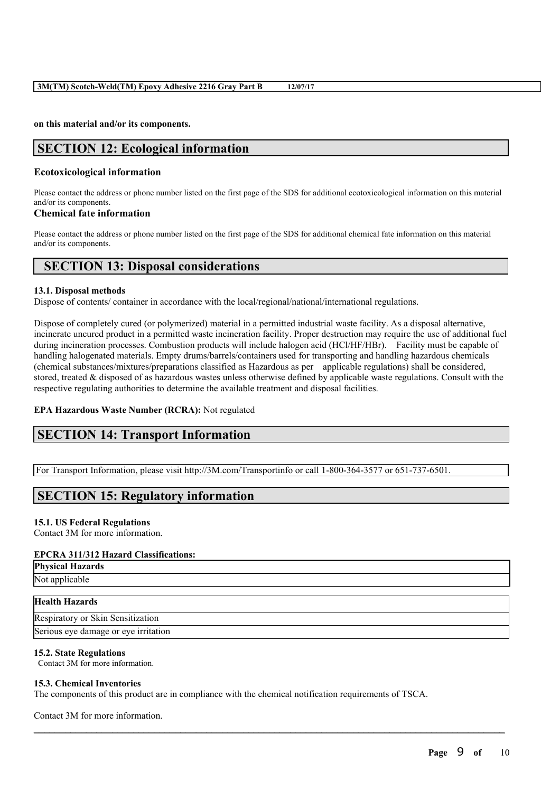#### **on this material and/or its components.**

# **SECTION 12: Ecological information**

# **Ecotoxicological information**

Please contact the address or phone number listed on the first page of the SDS for additional ecotoxicological information on this material and/or its components.

# **Chemical fate information**

Please contact the address or phone number listed on the first page of the SDS for additional chemical fate information on this material and/or its components.

# **SECTION 13: Disposal considerations**

#### **13.1. Disposal methods**

Dispose of contents/ container in accordance with the local/regional/national/international regulations.

Dispose of completely cured (or polymerized) material in a permitted industrial waste facility. As a disposal alternative, incinerate uncured product in a permitted waste incineration facility. Proper destruction may require the use of additional fuel during incineration processes. Combustion products will include halogen acid (HCl/HF/HBr). Facility must be capable of handling halogenated materials. Empty drums/barrels/containers used for transporting and handling hazardous chemicals (chemical substances/mixtures/preparations classified as Hazardous as per applicable regulations) shall be considered, stored, treated & disposed of as hazardous wastes unless otherwise defined by applicable waste regulations. Consult with the respective regulating authorities to determine the available treatment and disposal facilities.

# **EPA Hazardous Waste Number (RCRA):** Not regulated

# **SECTION 14: Transport Information**

For Transport Information, please visit http://3M.com/Transportinfo or call 1-800-364-3577 or 651-737-6501.

# **SECTION 15: Regulatory information**

# **15.1. US Federal Regulations**

Contact 3M for more information.

# **EPCRA 311/312 Hazard Classifications:**

| <b>Physical Hazards</b><br>Not applicable |
|-------------------------------------------|
|                                           |

# **Health Hazards**

Respiratory or Skin Sensitization Serious eye damage or eye irritation

# **15.2. State Regulations**

Contact 3M for more information.

# **15.3. Chemical Inventories**

The components of this product are in compliance with the chemical notification requirements of TSCA.

 $\mathcal{L}_\mathcal{L} = \mathcal{L}_\mathcal{L} = \mathcal{L}_\mathcal{L} = \mathcal{L}_\mathcal{L} = \mathcal{L}_\mathcal{L} = \mathcal{L}_\mathcal{L} = \mathcal{L}_\mathcal{L} = \mathcal{L}_\mathcal{L} = \mathcal{L}_\mathcal{L} = \mathcal{L}_\mathcal{L} = \mathcal{L}_\mathcal{L} = \mathcal{L}_\mathcal{L} = \mathcal{L}_\mathcal{L} = \mathcal{L}_\mathcal{L} = \mathcal{L}_\mathcal{L} = \mathcal{L}_\mathcal{L} = \mathcal{L}_\mathcal{L}$ 

Contact 3M for more information.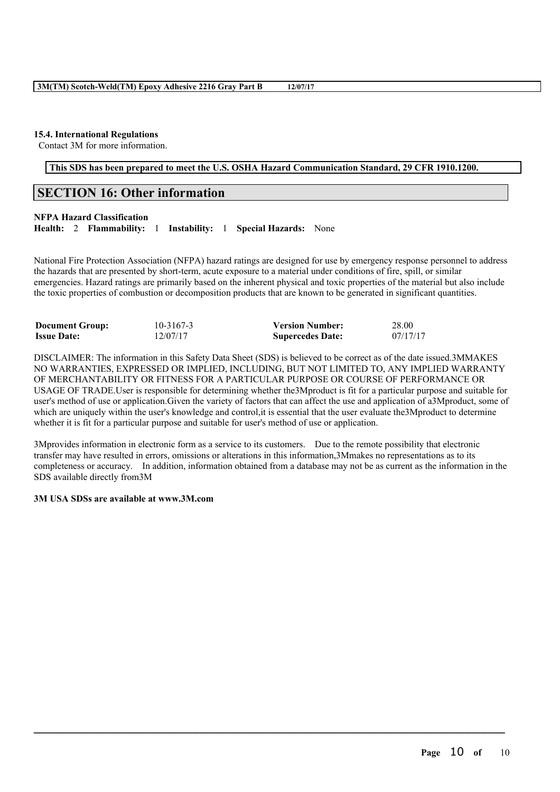# **15.4. International Regulations**

Contact 3M for more information.

# **This SDS has been prepared to meet the U.S. OSHA Hazard Communication Standard, 29 CFR 1910.1200.**

# **SECTION 16: Other information**

# **NFPA Hazard Classification**

**Health:** 2 **Flammability:** 1 **Instability:** 1 **Special Hazards:** None

National Fire Protection Association (NFPA) hazard ratings are designed for use by emergency response personnel to address the hazards that are presented by short-term, acute exposure to a material under conditions of fire, spill, or similar emergencies. Hazard ratings are primarily based on the inherent physical and toxic properties of the material but also include the toxic properties of combustion or decomposition products that are known to be generated in significant quantities.

| <b>Document Group:</b> | 10-3167-3 | <b>Version Number:</b>  | 28.00    |
|------------------------|-----------|-------------------------|----------|
| <b>Issue Date:</b>     | 12/07/17  | <b>Supercedes Date:</b> | 07/17/17 |

DISCLAIMER: The information in this Safety Data Sheet (SDS) is believed to be correct as of the date issued.3MMAKES NO WARRANTIES, EXPRESSED OR IMPLIED, INCLUDING, BUT NOT LIMITED TO, ANY IMPLIED WARRANTY OF MERCHANTABILITY OR FITNESS FOR A PARTICULAR PURPOSE OR COURSE OF PERFORMANCE OR USAGE OF TRADE.User is responsible for determining whether the3Mproduct is fit for a particular purpose and suitable for user's method of use or application.Given the variety of factors that can affect the use and application of a3Mproduct, some of which are uniquely within the user's knowledge and control, it is essential that the user evaluate the 3M product to determine whether it is fit for a particular purpose and suitable for user's method of use or application.

3Mprovides information in electronic form as a service to its customers. Due to the remote possibility that electronic transfer may have resulted in errors, omissions or alterations in this information,3Mmakes no representations as to its completeness or accuracy. In addition, information obtained from a database may not be as current as the information in the SDS available directly from3M

 $\mathcal{L}_\mathcal{L} = \mathcal{L}_\mathcal{L} = \mathcal{L}_\mathcal{L} = \mathcal{L}_\mathcal{L} = \mathcal{L}_\mathcal{L} = \mathcal{L}_\mathcal{L} = \mathcal{L}_\mathcal{L} = \mathcal{L}_\mathcal{L} = \mathcal{L}_\mathcal{L} = \mathcal{L}_\mathcal{L} = \mathcal{L}_\mathcal{L} = \mathcal{L}_\mathcal{L} = \mathcal{L}_\mathcal{L} = \mathcal{L}_\mathcal{L} = \mathcal{L}_\mathcal{L} = \mathcal{L}_\mathcal{L} = \mathcal{L}_\mathcal{L}$ 

#### **3M USA SDSs are available at www.3M.com**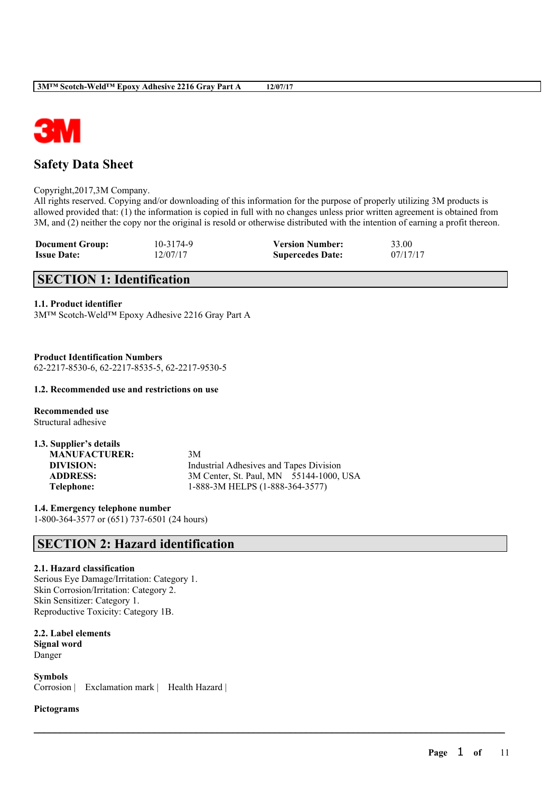

# **Safety Data Sheet**

Copyright,2017,3M Company.

All rights reserved. Copying and/or downloading of this information for the purpose of properly utilizing 3M products is allowed provided that: (1) the information is copied in full with no changes unless prior written agreement is obtained from 3M, and (2) neither the copy nor the original is resold or otherwise distributed with the intention of earning a profit thereon.

 $\mathcal{L}_\mathcal{L} = \mathcal{L}_\mathcal{L} = \mathcal{L}_\mathcal{L} = \mathcal{L}_\mathcal{L} = \mathcal{L}_\mathcal{L} = \mathcal{L}_\mathcal{L} = \mathcal{L}_\mathcal{L} = \mathcal{L}_\mathcal{L} = \mathcal{L}_\mathcal{L} = \mathcal{L}_\mathcal{L} = \mathcal{L}_\mathcal{L} = \mathcal{L}_\mathcal{L} = \mathcal{L}_\mathcal{L} = \mathcal{L}_\mathcal{L} = \mathcal{L}_\mathcal{L} = \mathcal{L}_\mathcal{L} = \mathcal{L}_\mathcal{L}$ 

| <b>Document Group:</b> | 10-3174-9 | <b>Version Number:</b>  | 33.00    |
|------------------------|-----------|-------------------------|----------|
| <b>Issue Date:</b>     | 12/07/17  | <b>Supercedes Date:</b> | 07/17/17 |

# **SECTION 1: Identification**

# **1.1. Product identifier**

3M™ Scotch-Weld™ Epoxy Adhesive 2216 Gray Part A

**Product Identification Numbers** 62-2217-8530-6, 62-2217-8535-5, 62-2217-9530-5

# **1.2. Recommended use and restrictions on use**

**Recommended use** Structural adhesive

| 1.3. Supplier's details |                                         |
|-------------------------|-----------------------------------------|
| <b>MANUFACTURER:</b>    | 3M                                      |
| DIVISION:               | Industrial Adhesives and Tapes Division |
| <b>ADDRESS:</b>         | 3M Center, St. Paul, MN 55144-1000, USA |
| Telephone:              | 1-888-3M HELPS (1-888-364-3577)         |
|                         |                                         |

**1.4. Emergency telephone number** 1-800-364-3577 or (651) 737-6501 (24 hours)

# **SECTION 2: Hazard identification**

# **2.1. Hazard classification**

Serious Eye Damage/Irritation: Category 1. Skin Corrosion/Irritation: Category 2. Skin Sensitizer: Category 1. Reproductive Toxicity: Category 1B.

**2.2. Label elements Signal word**

Danger

**Symbols** Corrosion | Exclamation mark | Health Hazard |

**Pictograms**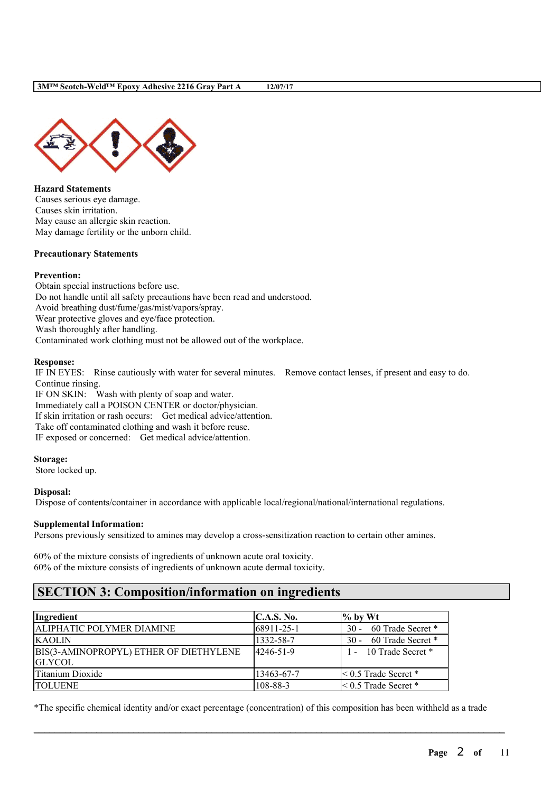

**Hazard Statements** Causes serious eye damage. Causes skin irritation. May cause an allergic skin reaction. May damage fertility or the unborn child.

# **Precautionary Statements**

#### **Prevention:**

Obtain special instructions before use. Do not handle until all safety precautions have been read and understood. Avoid breathing dust/fume/gas/mist/vapors/spray. Wear protective gloves and eye/face protection. Wash thoroughly after handling. Contaminated work clothing must not be allowed out of the workplace.

#### **Response:**

IF IN EYES: Rinse cautiously with water for several minutes. Remove contact lenses, if present and easy to do. Continue rinsing.

IF ON SKIN: Wash with plenty of soap and water. Immediately call a POISON CENTER or doctor/physician. If skin irritation or rash occurs: Get medical advice/attention. Take off contaminated clothing and wash it before reuse. IF exposed or concerned: Get medical advice/attention.

#### **Storage:**

Store locked up.

#### **Disposal:**

Dispose of contents/container in accordance with applicable local/regional/national/international regulations.

#### **Supplemental Information:**

Persons previously sensitized to amines may develop a cross-sensitization reaction to certain other amines.

60% of the mixture consists of ingredients of unknown acute oral toxicity. 60% of the mixture consists of ingredients of unknown acute dermal toxicity.

# **SECTION 3: Composition/information on ingredients**

| Ingredient                             | C.A.S. No. | $\%$ by Wt                |
|----------------------------------------|------------|---------------------------|
| <b>ALIPHATIC POLYMER DIAMINE</b>       | 68911-25-1 | 30 - 60 Trade Secret *    |
| <b>KAOLIN</b>                          | 1332-58-7  | 30 - 60 Trade Secret *    |
| BIS(3-AMINOPROPYL) ETHER OF DIETHYLENE | 4246-51-9  | 1 - 10 Trade Secret *     |
| <b>GLYCOL</b>                          |            |                           |
| Titanium Dioxide                       | 13463-67-7 | $\leq 0.5$ Trade Secret * |
| <b>ITOLUENE</b>                        | 108-88-3   | $\leq 0.5$ Trade Secret * |

\*The specific chemical identity and/or exact percentage (concentration) of this composition has been withheld as a trade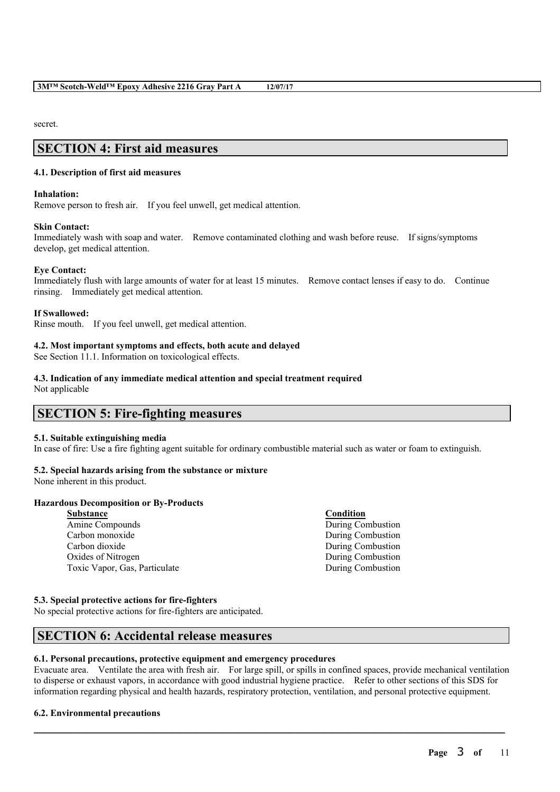secret.

# **SECTION 4: First aid measures**

# **4.1. Description of first aid measures**

#### **Inhalation:**

Remove person to fresh air. If you feel unwell, get medical attention.

#### **Skin Contact:**

Immediately wash with soap and water. Remove contaminated clothing and wash before reuse. If signs/symptoms develop, get medical attention.

# **Eye Contact:**

Immediately flush with large amounts of water for at least 15 minutes. Remove contact lenses if easy to do. Continue rinsing. Immediately get medical attention.

#### **If Swallowed:**

Rinse mouth. If you feel unwell, get medical attention.

# **4.2. Most important symptoms and effects, both acute and delayed**

See Section 11.1. Information on toxicological effects.

#### **4.3. Indication of any immediate medical attention and special treatment required**

Not applicable

# **SECTION 5: Fire-fighting measures**

# **5.1. Suitable extinguishing media**

In case of fire: Use a fire fighting agent suitable for ordinary combustible material such as water or foam to extinguish.

# **5.2. Special hazards arising from the substance or mixture**

None inherent in this product.

# **Hazardous Decomposition or By-Products**

| <b>Substance</b>              | Condition         |
|-------------------------------|-------------------|
| Amine Compounds               | During Combustion |
| Carbon monoxide               | During Combustion |
| Carbon dioxide                | During Combustion |
| Oxides of Nitrogen            | During Combustion |
| Toxic Vapor, Gas, Particulate | During Combustion |
|                               |                   |

# **5.3. Special protective actions for fire-fighters**

No special protective actions for fire-fighters are anticipated.

# **SECTION 6: Accidental release measures**

# **6.1. Personal precautions, protective equipment and emergency procedures**

Evacuate area. Ventilate the area with fresh air. For large spill, or spills in confined spaces, provide mechanical ventilation to disperse or exhaust vapors, in accordance with good industrial hygiene practice. Refer to other sections of this SDS for information regarding physical and health hazards, respiratory protection, ventilation, and personal protective equipment.

 $\mathcal{L}_\mathcal{L} = \mathcal{L}_\mathcal{L} = \mathcal{L}_\mathcal{L} = \mathcal{L}_\mathcal{L} = \mathcal{L}_\mathcal{L} = \mathcal{L}_\mathcal{L} = \mathcal{L}_\mathcal{L} = \mathcal{L}_\mathcal{L} = \mathcal{L}_\mathcal{L} = \mathcal{L}_\mathcal{L} = \mathcal{L}_\mathcal{L} = \mathcal{L}_\mathcal{L} = \mathcal{L}_\mathcal{L} = \mathcal{L}_\mathcal{L} = \mathcal{L}_\mathcal{L} = \mathcal{L}_\mathcal{L} = \mathcal{L}_\mathcal{L}$ 

# **6.2. Environmental precautions**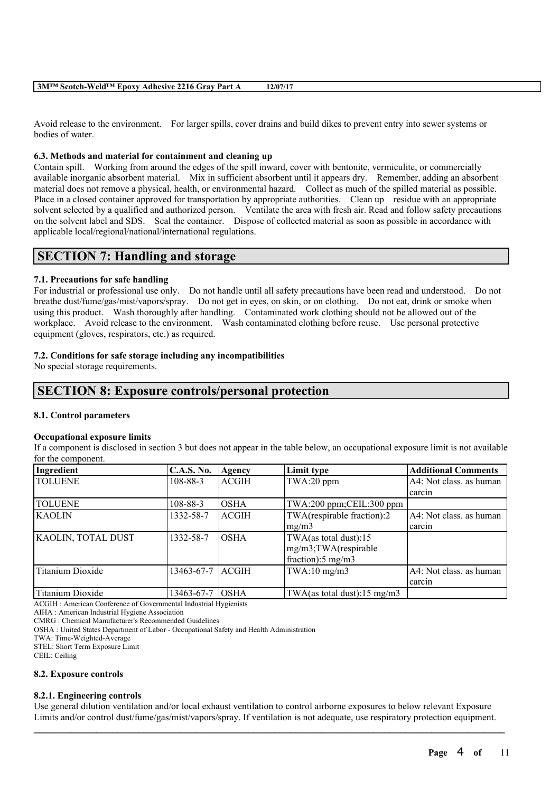Avoid release to the environment. For larger spills, cover drains and build dikes to prevent entry into sewer systems or bodies of water.

#### **6.3. Methods and material for containment and cleaning up**

Contain spill. Working from around the edges of the spill inward, cover with bentonite, vermiculite, or commercially available inorganic absorbent material. Mix in sufficient absorbent until it appears dry. Remember, adding an absorbent material does not remove a physical, health, or environmental hazard. Collect as much of the spilled material as possible. Place in a closed container approved for transportation by appropriate authorities. Clean up residue with an appropriate solvent selected by a qualified and authorized person. Ventilate the area with fresh air. Read and follow safety precautions on the solvent label and SDS. Seal the container. Dispose of collected material as soon as possible in accordance with applicable local/regional/national/international regulations.

# **SECTION 7: Handling and storage**

# **7.1. Precautions for safe handling**

For industrial or professional use only. Do not handle until all safety precautions have been read and understood. Do not breathe dust/fume/gas/mist/vapors/spray. Do not get in eyes, on skin, or on clothing. Do not eat, drink or smoke when using this product. Wash thoroughly after handling. Contaminated work clothing should not be allowed out of the workplace. Avoid release to the environment. Wash contaminated clothing before reuse. Use personal protective equipment (gloves, respirators, etc.) as required.

#### **7.2. Conditions for safe storage including any incompatibilities**

No special storage requirements.

# **SECTION 8: Exposure controls/personal protection**

#### **8.1. Control parameters**

#### **Occupational exposure limits**

If a component is disclosed in section 3 but does not appear in the table below, an occupational exposure limit is not available for the component.

| Ingredient              | <b>C.A.S. No.</b> | Agency       | Limit type                    | <b>Additional Comments</b> |
|-------------------------|-------------------|--------------|-------------------------------|----------------------------|
| <b>TOLUENE</b>          | 108-88-3          | <b>ACGIH</b> | TWA:20 ppm                    | A4: Not class, as human    |
|                         |                   |              |                               | carcin                     |
| <b>TOLUENE</b>          | 108-88-3          | <b>OSHA</b>  | TWA:200 ppm;CEIL:300 ppm      |                            |
| <b>KAOLIN</b>           | 1332-58-7         | <b>ACGIH</b> | TWA(respirable fraction):2    | A4: Not class. as human    |
|                         |                   |              | mg/m3                         | carcin                     |
| KAOLIN, TOTAL DUST      | 1332-58-7         | <b>OSHA</b>  | TWA(as total dust):15         |                            |
|                         |                   |              | mg/m3;TWA(respirable          |                            |
|                         |                   |              | fraction): $5 \text{ mg/m}$ 3 |                            |
| <b>Titanium Dioxide</b> | 13463-67-7        | ACGIH        | TWA:10 mg/m3                  | A4: Not class. as human    |
|                         |                   |              |                               | carcin                     |
| Titanium Dioxide        | 13463-67-7        | <b>OSHA</b>  | TWA(as total dust):15 mg/m3   |                            |

ACGIH : American Conference of Governmental Industrial Hygienists

AIHA : American Industrial Hygiene Association

CMRG : Chemical Manufacturer's Recommended Guidelines

OSHA : United States Department of Labor - Occupational Safety and Health Administration

TWA: Time-Weighted-Average

STEL: Short Term Exposure Limit

CEIL: Ceiling

#### **8.2. Exposure controls**

#### **8.2.1. Engineering controls**

Use general dilution ventilation and/or local exhaust ventilation to control airborne exposures to below relevant Exposure Limits and/or control dust/fume/gas/mist/vapors/spray. If ventilation is not adequate, use respiratory protection equipment.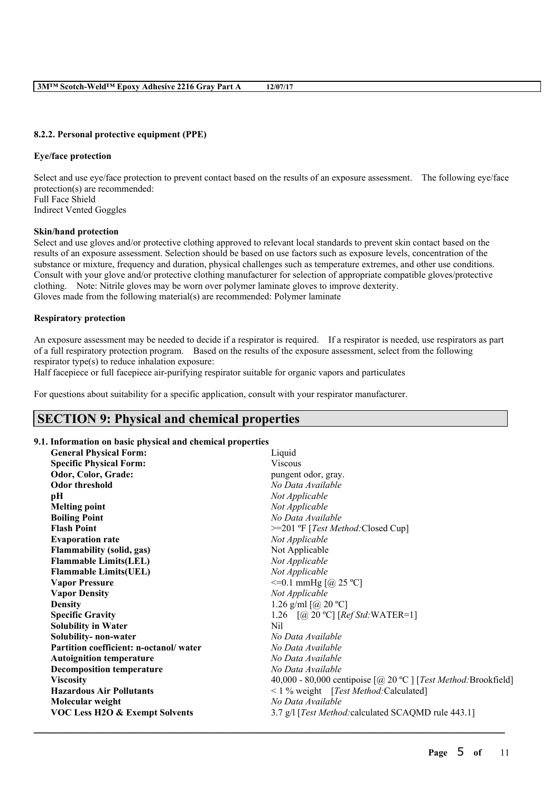### **8.2.2. Personal protective equipment (PPE)**

#### **Eye/face protection**

Select and use eye/face protection to prevent contact based on the results of an exposure assessment. The following eye/face protection(s) are recommended: Full Face Shield Indirect Vented Goggles

#### **Skin/hand protection**

Select and use gloves and/or protective clothing approved to relevant local standards to prevent skin contact based on the results of an exposure assessment. Selection should be based on use factors such as exposure levels, concentration of the substance or mixture, frequency and duration, physical challenges such as temperature extremes, and other use conditions. Consult with your glove and/or protective clothing manufacturer for selection of appropriate compatible gloves/protective clothing. Note: Nitrile gloves may be worn over polymer laminate gloves to improve dexterity. Gloves made from the following material(s) are recommended: Polymer laminate

#### **Respiratory protection**

An exposure assessment may be needed to decide if a respirator is required. If a respirator is needed, use respirators as part of a full respiratory protection program. Based on the results of the exposure assessment, select from the following respirator type(s) to reduce inhalation exposure:

Half facepiece or full facepiece air-purifying respirator suitable for organic vapors and particulates

For questions about suitability for a specific application, consult with your respirator manufacturer.

# **SECTION 9: Physical and chemical properties**

#### **9.1. Information on basic physical and chemical properties**

| <b>General Physical Form:</b>             | Liquid                                                                                             |
|-------------------------------------------|----------------------------------------------------------------------------------------------------|
| <b>Specific Physical Form:</b>            | <b>Viscous</b>                                                                                     |
| Odor, Color, Grade:                       | pungent odor, gray.                                                                                |
| <b>Odor threshold</b>                     | No Data Available                                                                                  |
| pН                                        | Not Applicable                                                                                     |
| <b>Melting point</b>                      | Not Applicable                                                                                     |
| <b>Boiling Point</b>                      | No Data Available                                                                                  |
| <b>Flash Point</b>                        | >=201 °F [Test Method:Closed Cup]                                                                  |
| <b>Evaporation rate</b>                   | Not Applicable                                                                                     |
| <b>Flammability (solid, gas)</b>          | Not Applicable                                                                                     |
| <b>Flammable Limits(LEL)</b>              | Not Applicable                                                                                     |
| <b>Flammable Limits(UEL)</b>              | Not Applicable                                                                                     |
| <b>Vapor Pressure</b>                     | $\leq$ =0.1 mmHg [@ 25 °C]                                                                         |
| <b>Vapor Density</b>                      | Not Applicable                                                                                     |
| <b>Density</b>                            | 1.26 g/ml $[@ 20 °C]$                                                                              |
| <b>Specific Gravity</b>                   | 1.26 $[@, 20 °C]$ [ <i>Ref Std</i> :WATER=1]                                                       |
| <b>Solubility in Water</b>                | Nil                                                                                                |
| Solubility- non-water                     | No Data Available                                                                                  |
| Partition coefficient: n-octanol/water    | No Data Available                                                                                  |
| <b>Autoignition temperature</b>           | No Data Available                                                                                  |
| <b>Decomposition temperature</b>          | No Data Available                                                                                  |
| <b>Viscosity</b>                          | 40,000 - 80,000 centipoise $\lceil \omega \rceil$ 20 °C $\lceil$ [ <i>Test Method:</i> Brookfield] |
| <b>Hazardous Air Pollutants</b>           | <1 % weight [Test Method: Calculated]                                                              |
| Molecular weight                          | No Data Available                                                                                  |
| <b>VOC Less H2O &amp; Exempt Solvents</b> | 3.7 g/l [Test Method: calculated SCAQMD rule 443.1]                                                |
|                                           |                                                                                                    |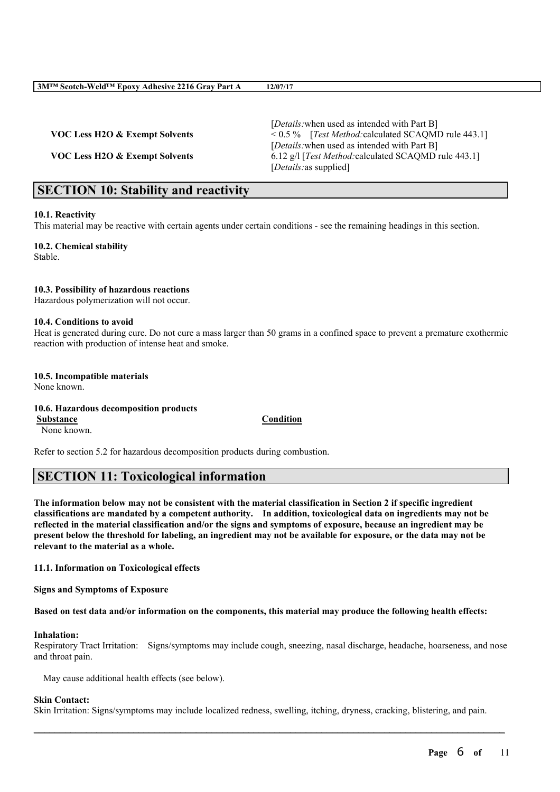[*Details:*when used as intended with Part B] **VOC Less H2O & Exempt Solvents** < 0.5 % [*Test Method:*calculated SCAQMD rule 443.1] [*Details:*when used as intended with Part B] **VOC Less H2O & Exempt Solvents** 6.12 g/l [*Test Method:*calculated SCAQMD rule 443.1] [*Details:*as supplied]

# **SECTION 10: Stability and reactivity**

#### **10.1. Reactivity**

This material may be reactive with certain agents under certain conditions - see the remaining headings in this section.

**10.2. Chemical stability** Stable.

#### **10.3. Possibility of hazardous reactions**

Hazardous polymerization will not occur.

#### **10.4. Conditions to avoid**

Heat is generated during cure. Do not cure a mass larger than 50 grams in a confined space to prevent a premature exothermic reaction with production of intense heat and smoke.

# **10.5. Incompatible materials**

None known.

**10.6. Hazardous decomposition products Substance Condition**

None known.

Refer to section 5.2 for hazardous decomposition products during combustion.

# **SECTION 11: Toxicological information**

The information below may not be consistent with the material classification in Section 2 if specific ingredient **classifications are mandated by a competent authority. In addition, toxicological data on ingredients may not be** reflected in the material classification and/or the signs and symptoms of exposure, because an ingredient may be present below the threshold for labeling, an ingredient may not be available for exposure, or the data may not be **relevant to the material as a whole.**

# **11.1. Information on Toxicological effects**

**Signs and Symptoms of Exposure**

Based on test data and/or information on the components, this material may produce the following health effects:

#### **Inhalation:**

Respiratory Tract Irritation: Signs/symptoms may include cough, sneezing, nasal discharge, headache, hoarseness, and nose and throat pain.

May cause additional health effects (see below).

#### **Skin Contact:**

Skin Irritation: Signs/symptoms may include localized redness, swelling, itching, dryness, cracking, blistering, and pain.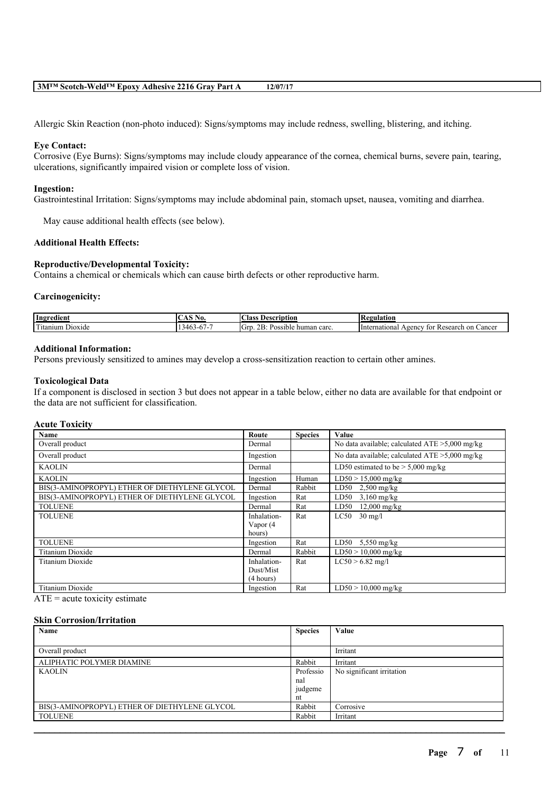Allergic Skin Reaction (non-photo induced): Signs/symptoms may include redness, swelling, blistering, and itching.

#### **Eye Contact:**

Corrosive (Eye Burns): Signs/symptoms may include cloudy appearance of the cornea, chemical burns, severe pain, tearing, ulcerations, significantly impaired vision or complete loss of vision.

#### **Ingestion:**

Gastrointestinal Irritation: Signs/symptoms may include abdominal pain, stomach upset, nausea, vomiting and diarrhea.

May cause additional health effects (see below).

# **Additional Health Effects:**

#### **Reproductive/Developmental Toxicity:**

Contains a chemical or chemicals which can cause birth defects or other reproductive harm.

#### **Carcinogenicity:**

| Ingredient                                                                                              | NO.                      | $\sim$<br>Aass<br>Description                       | 'egulation                                               |
|---------------------------------------------------------------------------------------------------------|--------------------------|-----------------------------------------------------|----------------------------------------------------------|
| <b>CONTRACT</b><br>$\overline{\phantom{a}}$<br><sup>1</sup> tanium<br>D <sub>10</sub> x <sub>1</sub> de | ،46<br>s-h<br>. .<br>TV. | ^*<br>IGп<br>carc.<br>Possible<br>human<br>$\sim$ 1 | International<br>Agency<br>on<br>Cancer<br>Researc.<br>ю |

#### **Additional Information:**

Persons previously sensitized to amines may develop a cross-sensitization reaction to certain other amines.

#### **Toxicological Data**

If a component is disclosed in section 3 but does not appear in a table below, either no data are available for that endpoint or the data are not sufficient for classification.

#### **Acute Toxicity**

| Name                                          | Route       | <b>Species</b> | Value                                             |
|-----------------------------------------------|-------------|----------------|---------------------------------------------------|
| Overall product                               | Dermal      |                | No data available; calculated $ATE > 5,000$ mg/kg |
| Overall product                               | Ingestion   |                | No data available; calculated $ATE > 5,000$ mg/kg |
| <b>KAOLIN</b>                                 | Dermal      |                | LD50 estimated to be $> 5,000$ mg/kg              |
| <b>KAOLIN</b>                                 | Ingestion   | Human          | $LD50 > 15,000$ mg/kg                             |
| BIS(3-AMINOPROPYL) ETHER OF DIETHYLENE GLYCOL | Dermal      | Rabbit         | LD50<br>$2,500$ mg/kg                             |
| BIS(3-AMINOPROPYL) ETHER OF DIETHYLENE GLYCOL | Ingestion   | Rat            | LD50<br>$3,160$ mg/kg                             |
| <b>TOLUENE</b>                                | Dermal      | Rat            | $12,000$ mg/kg<br>LD50                            |
| <b>TOLUENE</b>                                | Inhalation- | Rat            | LC50<br>$30 \text{ mg/l}$                         |
|                                               | Vapor (4    |                |                                                   |
|                                               | hours)      |                |                                                   |
| <b>TOLUENE</b>                                | Ingestion   | Rat            | LD50<br>$5,550$ mg/kg                             |
| Titanium Dioxide                              | Dermal      | Rabbit         | $LD50 > 10,000$ mg/kg                             |
| Titanium Dioxide                              | Inhalation- | Rat            | $LC50 > 6.82$ mg/l                                |
|                                               | Dust/Mist   |                |                                                   |
|                                               | (4 hours)   |                |                                                   |
| Titanium Dioxide                              | Ingestion   | Rat            | $LD50 > 10,000$ mg/kg                             |

 $ATE = acute$  toxicity estimate

#### **Skin Corrosion/Irritation**

| Name                                          | <b>Species</b> | Value                     |
|-----------------------------------------------|----------------|---------------------------|
|                                               |                |                           |
| Overall product                               |                | Irritant                  |
| ALIPHATIC POLYMER DIAMINE                     | Rabbit         | Irritant                  |
| <b>KAOLIN</b>                                 | Professio      | No significant irritation |
|                                               | nal            |                           |
|                                               | judgeme        |                           |
|                                               | nt             |                           |
| BIS(3-AMINOPROPYL) ETHER OF DIETHYLENE GLYCOL | Rabbit         | Corrosive                 |
| <b>TOLUENE</b>                                | Rabbit         | Irritant                  |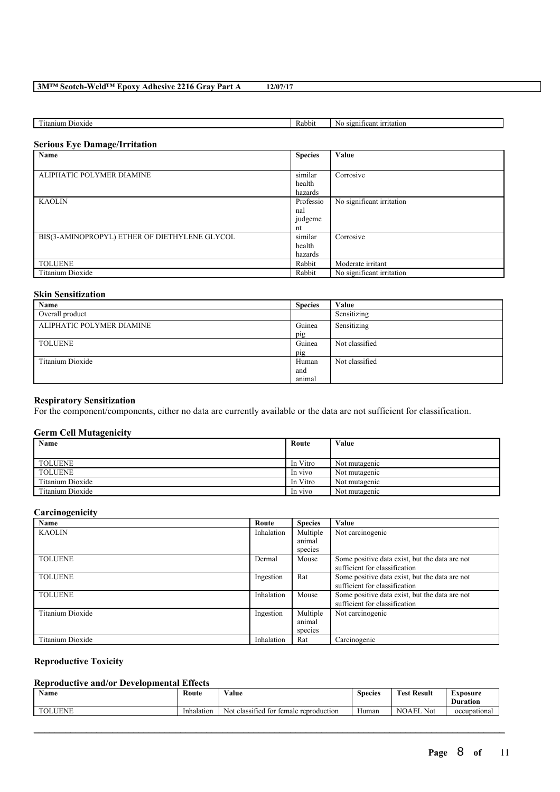| $\overline{\phantom{a}}$<br><b>Service</b><br>itanium<br>$D$ <sub>10</sub> x <sub>1</sub> de | Rabbit | - -<br>$\sim$ 00111.<br>irritation<br>ın.<br>N<br>$\sim$ |
|----------------------------------------------------------------------------------------------|--------|----------------------------------------------------------|

### **Serious Eye Damage/Irritation**

| Name                                          | <b>Species</b> | Value                     |
|-----------------------------------------------|----------------|---------------------------|
|                                               |                |                           |
| ALIPHATIC POLYMER DIAMINE                     | similar        | Corrosive                 |
|                                               | health         |                           |
|                                               | hazards        |                           |
| <b>KAOLIN</b>                                 | Professio      | No significant irritation |
|                                               | nal            |                           |
|                                               | judgeme        |                           |
|                                               | nt             |                           |
| BIS(3-AMINOPROPYL) ETHER OF DIETHYLENE GLYCOL | similar        | Corrosive                 |
|                                               | health         |                           |
|                                               | hazards        |                           |
| <b>TOLUENE</b>                                | Rabbit         | Moderate irritant         |
| Titanium Dioxide                              | Rabbit         | No significant irritation |

# **Skin Sensitization**

| Name                      | <b>Species</b> | Value          |
|---------------------------|----------------|----------------|
| Overall product           |                | Sensitizing    |
| ALIPHATIC POLYMER DIAMINE | Guinea         | Sensitizing    |
|                           | pig            |                |
| <b>TOLUENE</b>            | Guinea         | Not classified |
|                           | pig            |                |
| Titanium Dioxide          | Human          | Not classified |
|                           | and            |                |
|                           | animal         |                |

# **Respiratory Sensitization**

For the component/components, either no data are currently available or the data are not sufficient for classification.

## **Germ Cell Mutagenicity**

| Name             | Route    | Value         |
|------------------|----------|---------------|
|                  |          |               |
| <b>TOLUENE</b>   | In Vitro | Not mutagenic |
| <b>TOLUENE</b>   | In vivo  | Not mutagenic |
| Titanium Dioxide | In Vitro | Not mutagenic |
| Titanium Dioxide | In vivo  | Not mutagenic |

# **Carcinogenicity**

| Name             | Route      | <b>Species</b> | Value                                          |
|------------------|------------|----------------|------------------------------------------------|
| <b>KAOLIN</b>    | Inhalation | Multiple       | Not carcinogenic                               |
|                  |            | animal         |                                                |
|                  |            | species        |                                                |
| <b>TOLUENE</b>   | Dermal     | Mouse          | Some positive data exist, but the data are not |
|                  |            |                | sufficient for classification                  |
| <b>TOLUENE</b>   | Ingestion  | Rat            | Some positive data exist, but the data are not |
|                  |            |                | sufficient for classification                  |
| <b>TOLUENE</b>   | Inhalation | Mouse          | Some positive data exist, but the data are not |
|                  |            |                | sufficient for classification                  |
| Titanium Dioxide | Ingestion  | Multiple       | Not carcinogenic                               |
|                  |            | animal         |                                                |
|                  |            | species        |                                                |
| Titanium Dioxide | Inhalation | Rat            | Carcinogenic                                   |

# **Reproductive Toxicity**

# **Reproductive and/or Developmental Effects**

| <b>B</b> T<br>Name          | Route      | $\mathbf{v}$ $\mathbf{v}$<br>√alue<br>.         | $\sim$<br><b>Species</b> | Result<br>`est      | Exposure<br>$\sim$<br>Duration |
|-----------------------------|------------|-------------------------------------------------|--------------------------|---------------------|--------------------------------|
| <b>.UENE</b><br><b>TOLL</b> | Inhalation | classified<br>temale reproduction<br>Not<br>tor | $\mathbf{v}$<br>Human    | <b>NOAEL</b><br>Not | occupational                   |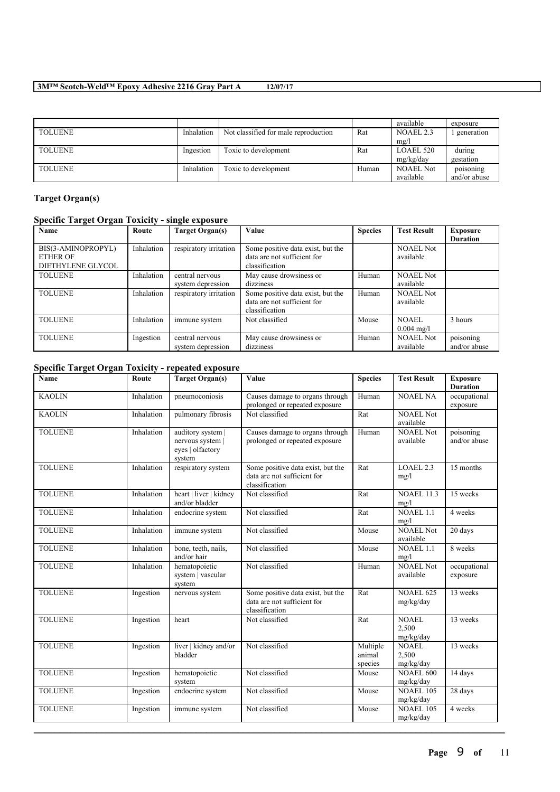|                |            |                                      |       | available        | exposure     |
|----------------|------------|--------------------------------------|-------|------------------|--------------|
| <b>TOLUENE</b> | Inhalation | Not classified for male reproduction | Rat   | NOAEL 2.3        | generation   |
|                |            |                                      |       | mg/l             |              |
| <b>TOLUENE</b> | Ingestion  | Toxic to development                 | Rat   | LOAEL 520        | during       |
|                |            |                                      |       | mg/kg/day        | gestation    |
| <b>TOLUENE</b> | Inhalation | Toxic to development                 | Human | <b>NOAEL Not</b> | poisoning    |
|                |            |                                      |       | available        | and/or abuse |

# **Target Organ(s)**

# **Specific Target Organ Toxicity - single exposure**

| Name                                                       | Route      | Target Organ(s)                      | Value                                                                              | <b>Species</b> | <b>Test Result</b>            | Exposure<br><b>Duration</b> |
|------------------------------------------------------------|------------|--------------------------------------|------------------------------------------------------------------------------------|----------------|-------------------------------|-----------------------------|
| BIS(3-AMINOPROPYL)<br><b>ETHER OF</b><br>DIETHYLENE GLYCOL | Inhalation | respiratory irritation               | Some positive data exist, but the<br>data are not sufficient for<br>classification |                | <b>NOAEL Not</b><br>available |                             |
| <b>TOLUENE</b>                                             | Inhalation | central nervous<br>system depression | May cause drowsiness or<br>dizziness                                               | Human          | <b>NOAEL Not</b><br>available |                             |
| <b>TOLUENE</b>                                             | Inhalation | respiratory irritation               | Some positive data exist, but the<br>data are not sufficient for<br>classification | Human          | <b>NOAEL Not</b><br>available |                             |
| <b>TOLUENE</b>                                             | Inhalation | immune system                        | Not classified                                                                     | Mouse          | NOAEL<br>$0.004 \text{ mg/l}$ | 3 hours                     |
| <b>TOLUENE</b>                                             | Ingestion  | central nervous<br>system depression | May cause drowsiness or<br>dizziness                                               | Human          | <b>NOAEL Not</b><br>available | poisoning<br>and/or abuse   |

# **Specific Target Organ Toxicity - repeated exposure**

| <b>Name</b>    | Route      | <b>Target Organ(s)</b>                                              | Value                                                                              | <b>Species</b>                | <b>Test Result</b>                 | <b>Exposure</b><br><b>Duration</b> |
|----------------|------------|---------------------------------------------------------------------|------------------------------------------------------------------------------------|-------------------------------|------------------------------------|------------------------------------|
| <b>KAOLIN</b>  | Inhalation | pneumoconiosis                                                      | Causes damage to organs through<br>prolonged or repeated exposure                  | Human                         | <b>NOAEL NA</b>                    | occupational<br>exposure           |
| <b>KAOLIN</b>  | Inhalation | pulmonary fibrosis                                                  | Not classified                                                                     | Rat                           | <b>NOAEL Not</b><br>available      |                                    |
| <b>TOLUENE</b> | Inhalation | auditory system  <br>nervous system  <br>eyes   olfactory<br>system | Causes damage to organs through<br>prolonged or repeated exposure                  | Human                         | <b>NOAEL Not</b><br>available      | poisoning<br>and/or abuse          |
| <b>TOLUENE</b> | Inhalation | respiratory system                                                  | Some positive data exist, but the<br>data are not sufficient for<br>classification | Rat                           | LOAEL <sub>2.3</sub><br>mg/l       | 15 months                          |
| <b>TOLUENE</b> | Inhalation | heart   liver   kidney<br>and/or bladder                            | Not classified                                                                     | Rat                           | <b>NOAEL 11.3</b><br>mg/l          | 15 weeks                           |
| <b>TOLUENE</b> | Inhalation | endocrine system                                                    | Not classified                                                                     | Rat                           | <b>NOAEL 1.1</b><br>mg/l           | 4 weeks                            |
| <b>TOLUENE</b> | Inhalation | immune system                                                       | Not classified                                                                     | Mouse                         | <b>NOAEL Not</b><br>available      | 20 days                            |
| <b>TOLUENE</b> | Inhalation | bone, teeth, nails,<br>and/or hair                                  | Not classified                                                                     | Mouse                         | NOAEL1.1<br>mg/l                   | 8 weeks                            |
| <b>TOLUENE</b> | Inhalation | hematopoietic<br>system   vascular<br>system                        | Not classified                                                                     | Human                         | <b>NOAEL Not</b><br>available      | occupational<br>exposure           |
| <b>TOLUENE</b> | Ingestion  | nervous system                                                      | Some positive data exist, but the<br>data are not sufficient for<br>classification | Rat                           | <b>NOAEL 625</b><br>mg/kg/day      | 13 weeks                           |
| <b>TOLUENE</b> | Ingestion  | heart                                                               | Not classified                                                                     | Rat                           | <b>NOAEL</b><br>2,500<br>mg/kg/day | 13 weeks                           |
| <b>TOLUENE</b> | Ingestion  | liver   kidney and/or<br>bladder                                    | Not classified                                                                     | Multiple<br>animal<br>species | <b>NOAEL</b><br>2,500<br>mg/kg/day | 13 weeks                           |
| <b>TOLUENE</b> | Ingestion  | hematopoietic<br>system                                             | Not classified                                                                     | Mouse                         | <b>NOAEL 600</b><br>mg/kg/day      | 14 days                            |
| <b>TOLUENE</b> | Ingestion  | endocrine system                                                    | Not classified                                                                     | Mouse                         | <b>NOAEL 105</b><br>mg/kg/day      | 28 days                            |
| <b>TOLUENE</b> | Ingestion  | immune system                                                       | Not classified                                                                     | Mouse                         | <b>NOAEL 105</b><br>mg/kg/day      | 4 weeks                            |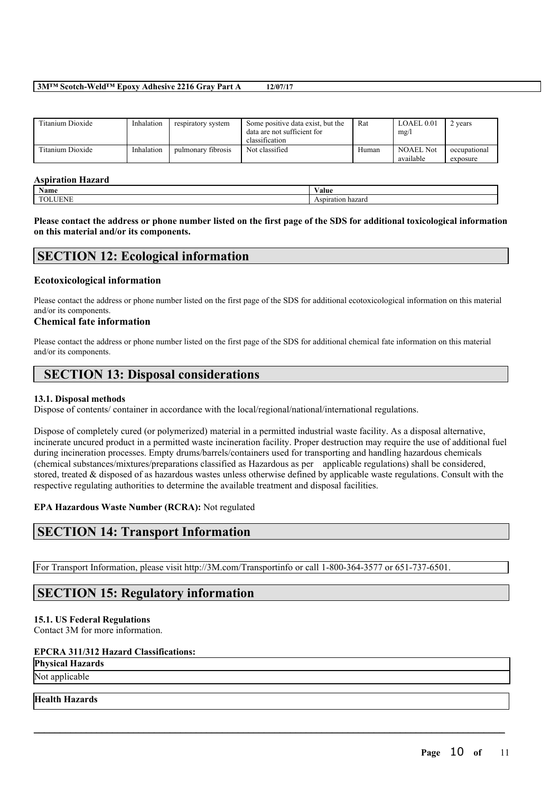| Titanium Dioxide | Inhalation | respiratory system | Some positive data exist, but the<br>data are not sufficient for<br>classification | Rat   | LOAEL 0.01<br>mg/l            | ' years                  |
|------------------|------------|--------------------|------------------------------------------------------------------------------------|-------|-------------------------------|--------------------------|
| Titanium Dioxide | Inhalation | pulmonary fibrosis | Not classified                                                                     | Human | <b>NOAEL Not</b><br>available | occupational<br>exposure |

#### **Aspiration Hazard**

| - 100<br><b>Name</b> | V alue                                   |
|----------------------|------------------------------------------|
| <b>TIME</b>          | $-1$<br>PQQQQQ<br>nazaro<br>ASDH<br>га н |

Please contact the address or phone number listed on the first page of the SDS for additional toxicological information **on this material and/or its components.**

# **SECTION 12: Ecological information**

# **Ecotoxicological information**

Please contact the address or phone number listed on the first page of the SDS for additional ecotoxicological information on this material and/or its components.

# **Chemical fate information**

Please contact the address or phone number listed on the first page of the SDS for additional chemical fate information on this material and/or its components.

# **SECTION 13: Disposal considerations**

# **13.1. Disposal methods**

Dispose of contents/ container in accordance with the local/regional/national/international regulations.

Dispose of completely cured (or polymerized) material in a permitted industrial waste facility. As a disposal alternative, incinerate uncured product in a permitted waste incineration facility. Proper destruction may require the use of additional fuel during incineration processes. Empty drums/barrels/containers used for transporting and handling hazardous chemicals (chemical substances/mixtures/preparations classified as Hazardous as per applicable regulations) shall be considered, stored, treated & disposed of as hazardous wastes unless otherwise defined by applicable waste regulations. Consult with the respective regulating authorities to determine the available treatment and disposal facilities.

 $\mathcal{L}_\mathcal{L} = \mathcal{L}_\mathcal{L} = \mathcal{L}_\mathcal{L} = \mathcal{L}_\mathcal{L} = \mathcal{L}_\mathcal{L} = \mathcal{L}_\mathcal{L} = \mathcal{L}_\mathcal{L} = \mathcal{L}_\mathcal{L} = \mathcal{L}_\mathcal{L} = \mathcal{L}_\mathcal{L} = \mathcal{L}_\mathcal{L} = \mathcal{L}_\mathcal{L} = \mathcal{L}_\mathcal{L} = \mathcal{L}_\mathcal{L} = \mathcal{L}_\mathcal{L} = \mathcal{L}_\mathcal{L} = \mathcal{L}_\mathcal{L}$ 

# **EPA Hazardous Waste Number (RCRA):** Not regulated

# **SECTION 14: Transport Information**

For Transport Information, please visit http://3M.com/Transportinfo or call 1-800-364-3577 or 651-737-6501.

# **SECTION 15: Regulatory information**

# **15.1. US Federal Regulations**

Contact 3M for more information.

# **EPCRA 311/312 Hazard Classifications:**

# **Physical Hazards**

Not applicable

# **Health Hazards**